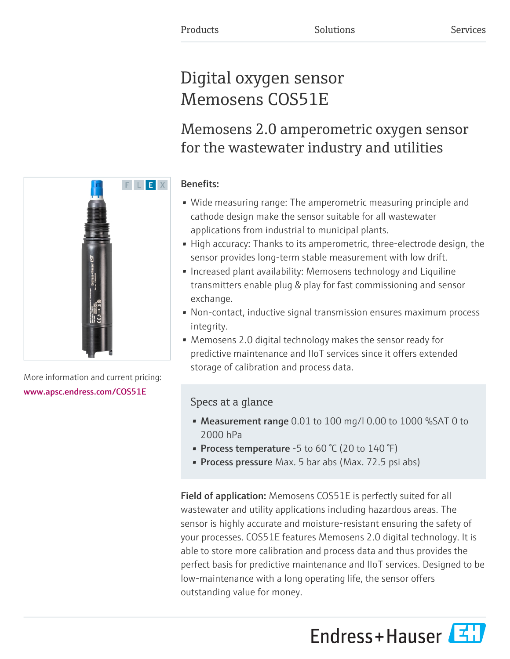# Digital oxygen sensor Memosens COS51E

Memosens 2.0 amperometric oxygen sensor for the wastewater industry and utilities

## Benefits:

- Wide measuring range: The amperometric measuring principle and cathode design make the sensor suitable for all wastewater applications from industrial to municipal plants.
- High accuracy: Thanks to its amperometric, three-electrode design, the sensor provides long-term stable measurement with low drift.
- Increased plant availability: Memosens technology and Liquiline transmitters enable plug & play for fast commissioning and sensor exchange.
- Non-contact, inductive signal transmission ensures maximum process integrity.
- Memosens 2.0 digital technology makes the sensor ready for predictive maintenance and IIoT services since it offers extended storage of calibration and process data.

# Specs at a glance

- Measurement range 0.01 to 100 mg/l 0.00 to 1000 %SAT 0 to 2000 hPa
- Process temperature -5 to 60  $\degree$ C (20 to 140  $\degree$ F)
- Process pressure Max. 5 bar abs (Max. 72.5 psi abs)

Field of application: Memosens COS51E is perfectly suited for all wastewater and utility applications including hazardous areas. The sensor is highly accurate and moisture-resistant ensuring the safety of your processes. COS51E features Memosens 2.0 digital technology. It is able to store more calibration and process data and thus provides the perfect basis for predictive maintenance and IIoT services. Designed to be low-maintenance with a long operating life, the sensor offers outstanding value for money.

Endress+Hauser



More information and current pricing: [www.apsc.endress.com/COS51E](https://www.apsc.endress.com/COS51E)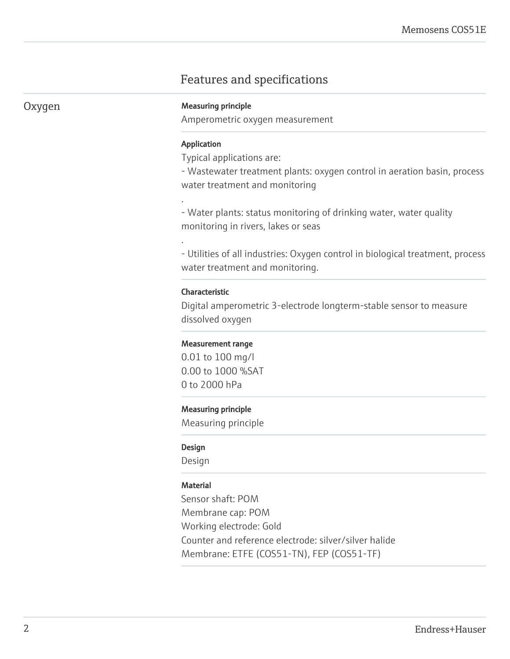# Features and specifications

#### Oxygen Measuring principle

Amperometric oxygen measurement

#### Application

.

.

Typical applications are:

- Wastewater treatment plants: oxygen control in aeration basin, process water treatment and monitoring

- Water plants: status monitoring of drinking water, water quality monitoring in rivers, lakes or seas

- Utilities of all industries: Oxygen control in biological treatment, process water treatment and monitoring.

#### Characteristic

Digital amperometric 3-electrode longterm-stable sensor to measure dissolved oxygen

#### Measurement range

0.01 to 100 mg/l 0.00 to 1000 %SAT 0 to 2000 hPa

#### Measuring principle

Measuring principle

#### Design

Design

#### **Material**

Sensor shaft: POM Membrane cap: POM Working electrode: Gold Counter and reference electrode: silver/silver halide Membrane: ETFE (COS51-TN), FEP (COS51-TF)